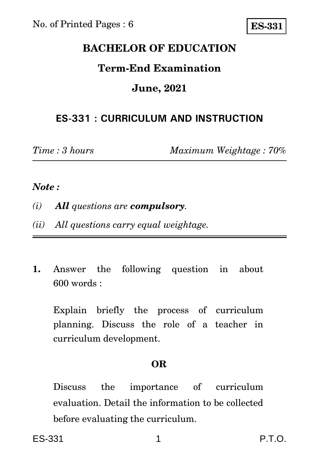# **BACHELOR OF EDUCATION**

# **Term-End Examination**

## **June, 2021**

## **ES-331 : CURRICULUM AND INSTRUCTION**

*Time : 3 hours Maximum Weightage : 70%*

### *Note :*

- *(i) All questions are compulsory.*
- *(ii) All questions carry equal weightage.*
- **1.** Answer the following question in about 600 words :

Explain briefly the process of curriculum planning. Discuss the role of a teacher in curriculum development.

#### **OR**

Discuss the importance of curriculum evaluation. Detail the information to be collected before evaluating the curriculum.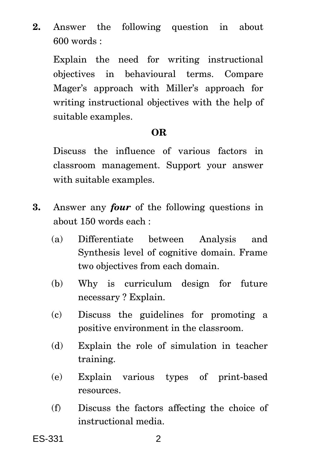**2.** Answer the following question in about 600 words :

Explain the need for writing instructional objectives in behavioural terms. Compare Mager's approach with Miller's approach for writing instructional objectives with the help of suitable examples.

### **OR**

Discuss the influence of various factors in classroom management. Support your answer with suitable examples.

- **3.** Answer any *four* of the following questions in about 150 words each :
	- (a) Differentiate between Analysis and Synthesis level of cognitive domain. Frame two objectives from each domain.
	- (b) Why is curriculum design for future necessary ? Explain.
	- (c) Discuss the guidelines for promoting a positive environment in the classroom.
	- (d) Explain the role of simulation in teacher training.
	- (e) Explain various types of print-based resources.
	- (f) Discuss the factors affecting the choice of instructional media.

ES-331 2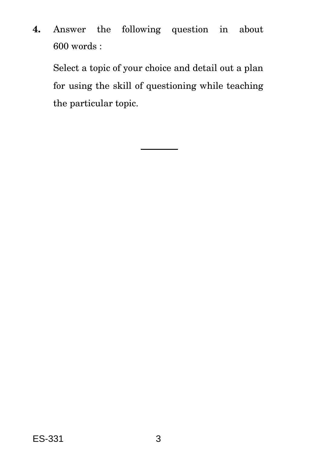**4.** Answer the following question in about 600 words :

Select a topic of your choice and detail out a plan for using the skill of questioning while teaching the particular topic.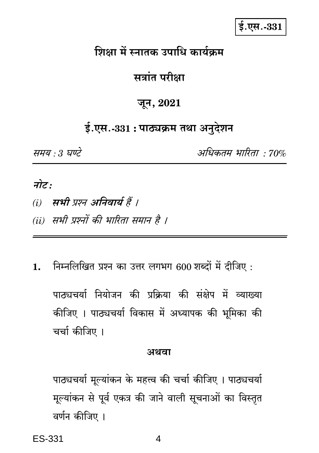$$.$ एस. $-331$ 

# शिक्षा में स्नातक उपाधि कार्यक्रम

# सत्रांत परीक्षा

## जून, 2021

# ई.एस.-331 : पाठ्यक्रम तथा अनुदेशन

समय : 3 घण्टे

अधिकतम भारिता • 70%

# नोट:

- (i) सभी प्रश्न अनिवार्य हैं ।
- (ii) सभी प्रश्नों की भारिता समान है ।
- निम्नलिखित प्रश्न का उत्तर लगभग 600 शब्दों में दीजिए: 1.

पाठ्यचर्या नियोजन की प्रक्रिया की संक्षेप में व्याख्या कीजिए । पाठ्यचर्या विकास में अध्यापक की भूमिका की चर्चा कीजिए ।

#### अथवा

पाठ्यचर्या मूल्यांकन के महत्त्व की चर्चा कीजिए । पाठ्यचर्या मूल्यांकन से पूर्व एकत्र की जाने वाली सूचनाओं का विस्तृत वर्णन कीजिए ।

ES-331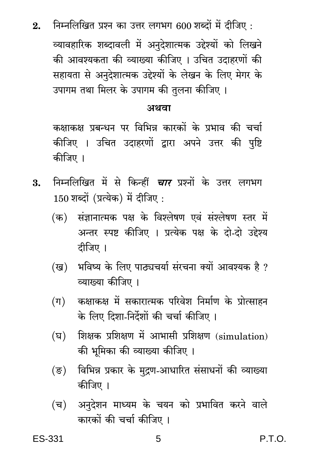निम्नलिखित प्रश्न का उत्तर लगभग 600 शब्दों में दीजिए:  $2<sub>1</sub>$ 

व्यावहारिक शब्दावली में अनुदेशात्मक उद्देश्यों को लिखने की आवश्यकता की व्याख्या कीजिए । उचित उदाहरणों की सहायता से अनदेशात्मक उद्देश्यों के लेखन के लिए मेगर के उपागम तथा मिलर के उपागम की तुलना कीजिए ।

#### अथवा

कक्षाकक्ष प्रबन्धन पर विभिन्न कारकों के प्रभाव की चर्चा कीजिए । उचित उदाहरणों द्वारा अपने उत्तर की पृष्टि कीजिए ।

- निम्नलिखित में से किन्हीं *चार* प्रश्नों के उत्तर लगभग 3.  $150$  शब्दों (प्रत्येक) में दीजिए :
	- (क) संज्ञानात्मक पक्ष के विश्लेषण एवं संश्लेषण स्तर में अन्तर स्पष्ट कीजिए । प्रत्येक पक्ष के दो-दो उद्देश्य दीजिए ।
	- (ख) भविष्य के लिए पाठ्यचर्या संरचना क्यों आवश्यक है ? व्याख्या कीजिए ।
	- कक्षाकक्ष में सकारात्मक परिवेश निर्माण के प्रोत्साहन  $(\Pi)$ के लिए दिशा-निर्देशों की चर्चा कीजिए ।
	- शिक्षक प्रशिक्षण में आभासी प्रशिक्षण (simulation) (घ) की भूमिका की व्याख्या कीजिए ।
	- विभिन्न प्रकार के मुद्रण-आधारित संसाधनों की व्याख्या  $(\overline{\mathbf{S}})$ कीजिए ।
	- अनुदेशन माध्यम के चयन को प्रभावित करने वाले (च) कारकों की चर्चा कीजिए ।

P.T.O.